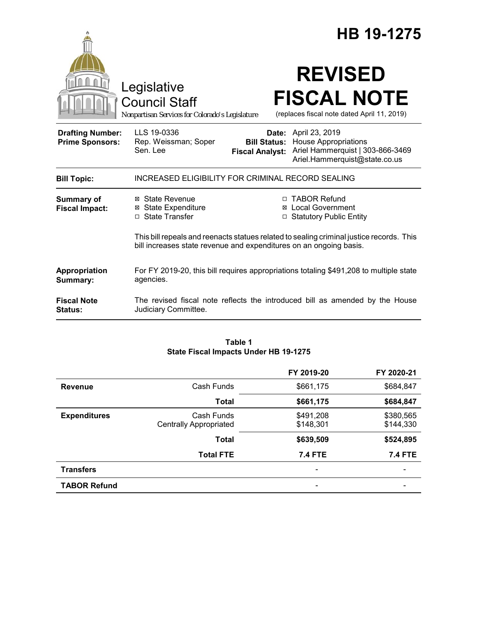|                                                   |                                                                                                                                                                |                                               | HB 19-1275                                                                                                               |
|---------------------------------------------------|----------------------------------------------------------------------------------------------------------------------------------------------------------------|-----------------------------------------------|--------------------------------------------------------------------------------------------------------------------------|
|                                                   | Legislative<br><b>Council Staff</b><br>Nonpartisan Services for Colorado's Legislature                                                                         |                                               | <b>REVISED</b><br><b>FISCAL NOTE</b><br>(replaces fiscal note dated April 11, 2019)                                      |
| <b>Drafting Number:</b><br><b>Prime Sponsors:</b> | LLS 19-0336<br>Rep. Weissman; Soper<br>Sen. Lee                                                                                                                | <b>Bill Status:</b><br><b>Fiscal Analyst:</b> | Date: April 23, 2019<br><b>House Appropriations</b><br>Ariel Hammerquist   303-866-3469<br>Ariel.Hammerquist@state.co.us |
| <b>Bill Topic:</b>                                | INCREASED ELIGIBILITY FOR CRIMINAL RECORD SEALING                                                                                                              |                                               |                                                                                                                          |
| <b>Summary of</b><br><b>Fiscal Impact:</b>        | ⊠ State Revenue<br><b>⊠</b> State Expenditure<br>□ State Transfer                                                                                              | П.                                            | <b>TABOR Refund</b><br><b>⊠</b> Local Government<br>□ Statutory Public Entity                                            |
|                                                   | This bill repeals and reenacts statues related to sealing criminal justice records. This<br>bill increases state revenue and expenditures on an ongoing basis. |                                               |                                                                                                                          |
| Appropriation<br>Summary:                         | agencies.                                                                                                                                                      |                                               | For FY 2019-20, this bill requires appropriations totaling \$491,208 to multiple state                                   |
| <b>Fiscal Note</b><br><b>Status:</b>              | Judiciary Committee.                                                                                                                                           |                                               | The revised fiscal note reflects the introduced bill as amended by the House                                             |

### **Table 1 State Fiscal Impacts Under HB 19-1275**

|                     |                               | FY 2019-20     | FY 2020-21     |
|---------------------|-------------------------------|----------------|----------------|
| <b>Revenue</b>      | Cash Funds                    | \$661,175      | \$684,847      |
|                     | Total                         | \$661,175      | \$684,847      |
| <b>Expenditures</b> | Cash Funds                    | \$491,208      | \$380,565      |
|                     | <b>Centrally Appropriated</b> | \$148,301      | \$144,330      |
|                     | <b>Total</b>                  | \$639,509      | \$524,895      |
|                     | <b>Total FTE</b>              | <b>7.4 FTE</b> | <b>7.4 FTE</b> |
| <b>Transfers</b>    |                               |                |                |
| <b>TABOR Refund</b> |                               | -              |                |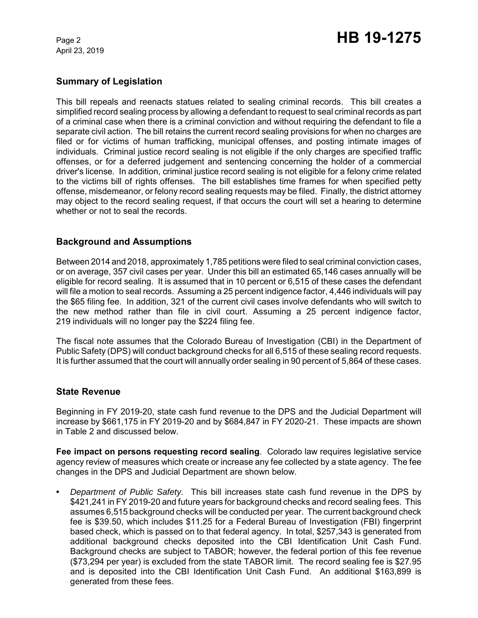# Page 2 **HB 19-1275**

## **Summary of Legislation**

This bill repeals and reenacts statues related to sealing criminal records. This bill creates a simplified record sealing process by allowing a defendant to request to seal criminal records as part of a criminal case when there is a criminal conviction and without requiring the defendant to file a separate civil action. The bill retains the current record sealing provisions for when no charges are filed or for victims of human trafficking, municipal offenses, and posting intimate images of individuals. Criminal justice record sealing is not eligible if the only charges are specified traffic offenses, or for a deferred judgement and sentencing concerning the holder of a commercial driver's license. In addition, criminal justice record sealing is not eligible for a felony crime related to the victims bill of rights offenses. The bill establishes time frames for when specified petty offense, misdemeanor, or felony record sealing requests may be filed. Finally, the district attorney may object to the record sealing request, if that occurs the court will set a hearing to determine whether or not to seal the records.

## **Background and Assumptions**

Between 2014 and 2018, approximately 1,785 petitions were filed to seal criminal conviction cases, or on average, 357 civil cases per year. Under this bill an estimated 65,146 cases annually will be eligible for record sealing. It is assumed that in 10 percent or 6,515 of these cases the defendant will file a motion to seal records. Assuming a 25 percent indigence factor, 4,446 individuals will pay the \$65 filing fee. In addition, 321 of the current civil cases involve defendants who will switch to the new method rather than file in civil court. Assuming a 25 percent indigence factor, 219 individuals will no longer pay the \$224 filing fee.

The fiscal note assumes that the Colorado Bureau of Investigation (CBI) in the Department of Public Safety (DPS) will conduct background checks for all 6,515 of these sealing record requests. It is further assumed that the court will annually order sealing in 90 percent of 5,864 of these cases.

## **State Revenue**

Beginning in FY 2019-20, state cash fund revenue to the DPS and the Judicial Department will increase by \$661,175 in FY 2019-20 and by \$684,847 in FY 2020-21. These impacts are shown in Table 2 and discussed below.

**Fee impact on persons requesting record sealing**. Colorado law requires legislative service agency review of measures which create or increase any fee collected by a state agency. The fee changes in the DPS and Judicial Department are shown below.

**•** *Department of Public Safety.* This bill increases state cash fund revenue in the DPS by \$421,241 in FY 2019-20 and future years for background checks and record sealing fees. This assumes 6,515 background checks will be conducted per year. The current background check fee is \$39.50, which includes \$11.25 for a Federal Bureau of Investigation (FBI) fingerprint based check, which is passed on to that federal agency. In total, \$257,343 is generated from additional background checks deposited into the CBI Identification Unit Cash Fund. Background checks are subject to TABOR; however, the federal portion of this fee revenue (\$73,294 per year) is excluded from the state TABOR limit. The record sealing fee is \$27.95 and is deposited into the CBI Identification Unit Cash Fund. An additional \$163,899 is generated from these fees.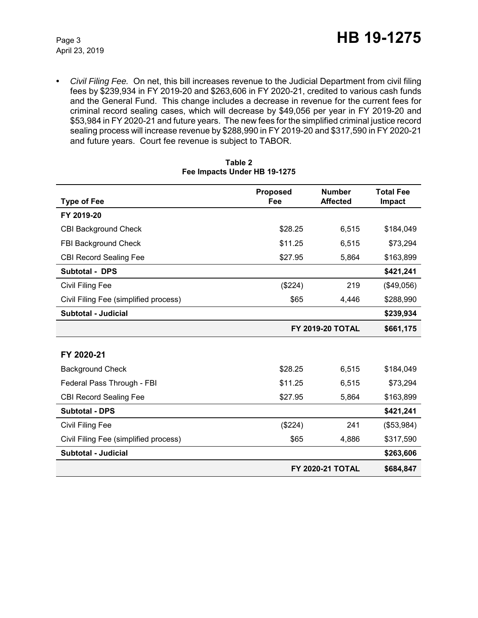**•** *Civil Filing Fee.* On net, this bill increases revenue to the Judicial Department from civil filing fees by \$239,934 in FY 2019-20 and \$263,606 in FY 2020-21, credited to various cash funds and the General Fund. This change includes a decrease in revenue for the current fees for criminal record sealing cases, which will decrease by \$49,056 per year in FY 2019-20 and \$53,984 in FY 2020-21 and future years. The new fees for the simplified criminal justice record sealing process will increase revenue by \$288,990 in FY 2019-20 and \$317,590 in FY 2020-21 and future years. Court fee revenue is subject to TABOR.

|                                       | <b>Proposed</b> | <b>Number</b>           | <b>Total Fee</b> |
|---------------------------------------|-----------------|-------------------------|------------------|
| <b>Type of Fee</b>                    | Fee             | <b>Affected</b>         | Impact           |
| FY 2019-20                            |                 |                         |                  |
| <b>CBI Background Check</b>           | \$28.25         | 6,515                   | \$184,049        |
| FBI Background Check                  | \$11.25         | 6,515                   | \$73,294         |
| <b>CBI Record Sealing Fee</b>         | \$27.95         | 5,864                   | \$163,899        |
| <b>Subtotal - DPS</b>                 |                 |                         | \$421,241        |
| Civil Filing Fee                      | (\$224)         | 219                     | (\$49,056)       |
| Civil Filing Fee (simplified process) | \$65            | 4,446                   | \$288,990        |
| <b>Subtotal - Judicial</b>            |                 |                         | \$239,934        |
|                                       |                 | <b>FY 2019-20 TOTAL</b> |                  |
|                                       |                 |                         |                  |
| FY 2020-21                            |                 |                         |                  |
| <b>Background Check</b>               | \$28.25         | 6,515                   | \$184,049        |
| Federal Pass Through - FBI            | \$11.25         | 6,515                   | \$73,294         |
| <b>CBI Record Sealing Fee</b>         | \$27.95         | 5,864                   | \$163,899        |
| <b>Subtotal - DPS</b>                 |                 |                         | \$421,241        |
| Civil Filing Fee                      | (\$224)         | 241                     | (\$53,984)       |
| Civil Filing Fee (simplified process) | \$65            | 4,886                   | \$317,590        |
| <b>Subtotal - Judicial</b>            |                 |                         | \$263,606        |
|                                       |                 | <b>FY 2020-21 TOTAL</b> | \$684,847        |

#### **Table 2 Fee Impacts Under HB 19-1275**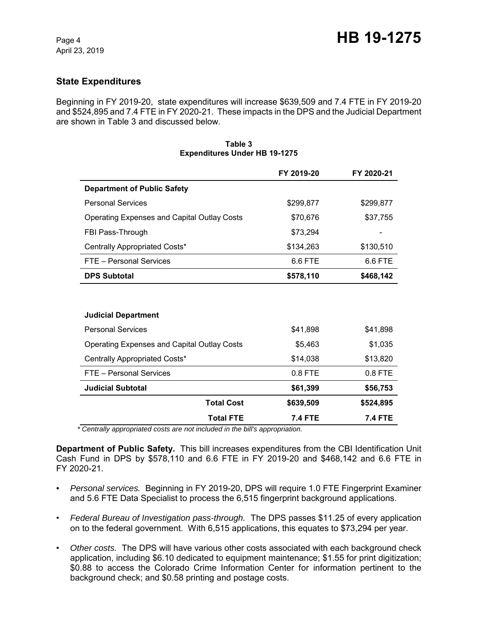## **State Expenditures**

Beginning in FY 2019-20, state expenditures will increase \$639,509 and 7.4 FTE in FY 2019-20 and \$524,895 and 7.4 FTE in FY 2020-21. These impacts in the DPS and the Judicial Department are shown in Table 3 and discussed below.

|                                                    | FY 2019-20 | FY 2020-21 |
|----------------------------------------------------|------------|------------|
| <b>Department of Public Safety</b>                 |            |            |
| <b>Personal Services</b>                           | \$299,877  | \$299,877  |
| <b>Operating Expenses and Capital Outlay Costs</b> | \$70,676   | \$37,755   |
| FBI Pass-Through                                   | \$73,294   |            |
| Centrally Appropriated Costs*                      | \$134,263  | \$130,510  |
| FTE - Personal Services                            | 6.6 FTE    | 6.6 FTE    |
| <b>DPS Subtotal</b>                                | \$578,110  | \$468,142  |
|                                                    |            |            |
|                                                    |            |            |
| <b>Judicial Department</b>                         |            |            |
| <b>Personal Services</b>                           | \$41,898   | \$41,898   |
| Operating Expenses and Capital Outlay Costs        | \$5,463    | \$1,035    |
| Centrally Appropriated Costs*                      | \$14,038   | \$13,820   |
| FTE - Personal Services                            | $0.8$ FTE  | 0.8 FTE    |
| <b>Judicial Subtotal</b>                           | \$61,399   | \$56,753   |
| <b>Total Cost</b>                                  | \$639,509  | \$524,895  |

#### **Table 3 Expenditures Under HB 19-1275**

 *\* Centrally appropriated costs are not included in the bill's appropriation.*

**Department of Public Safety.** This bill increases expenditures from the CBI Identification Unit Cash Fund in DPS by \$578,110 and 6.6 FTE in FY 2019-20 and \$468,142 and 6.6 FTE in FY 2020-21.

**Total FTE 7.4 FTE 7.4 FTE**

- *Personal services.* Beginning in FY 2019-20, DPS will require 1.0 FTE Fingerprint Examiner and 5.6 FTE Data Specialist to process the 6,515 fingerprint background applications.
- *Federal Bureau of Investigation pass-through.* The DPS passes \$11.25 of every application on to the federal government. With 6,515 applications, this equates to \$73,294 per year.
- *Other costs.* The DPS will have various other costs associated with each background check application, including \$6.10 dedicated to equipment maintenance; \$1.55 for print digitization; \$0.88 to access the Colorado Crime Information Center for information pertinent to the background check; and \$0.58 printing and postage costs.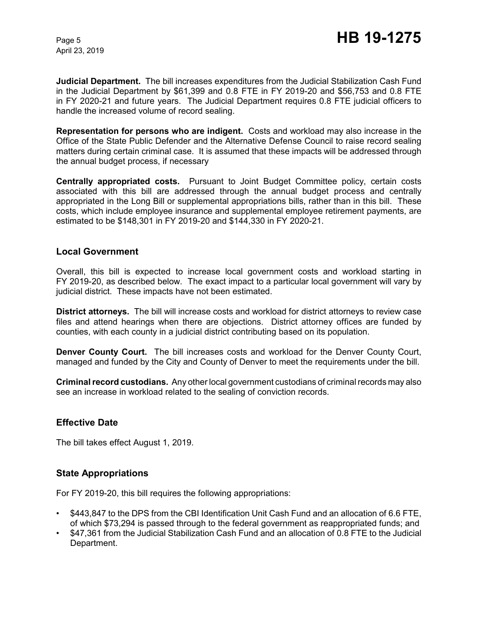**Judicial Department.** The bill increases expenditures from the Judicial Stabilization Cash Fund in the Judicial Department by \$61,399 and 0.8 FTE in FY 2019-20 and \$56,753 and 0.8 FTE in FY 2020-21 and future years. The Judicial Department requires 0.8 FTE judicial officers to handle the increased volume of record sealing.

**Representation for persons who are indigent.** Costs and workload may also increase in the Office of the State Public Defender and the Alternative Defense Council to raise record sealing matters during certain criminal case. It is assumed that these impacts will be addressed through the annual budget process, if necessary

**Centrally appropriated costs.** Pursuant to Joint Budget Committee policy, certain costs associated with this bill are addressed through the annual budget process and centrally appropriated in the Long Bill or supplemental appropriations bills, rather than in this bill. These costs, which include employee insurance and supplemental employee retirement payments, are estimated to be \$148,301 in FY 2019-20 and \$144,330 in FY 2020-21.

## **Local Government**

Overall, this bill is expected to increase local government costs and workload starting in FY 2019-20, as described below. The exact impact to a particular local government will vary by judicial district. These impacts have not been estimated.

**District attorneys.** The bill will increase costs and workload for district attorneys to review case files and attend hearings when there are objections. District attorney offices are funded by counties, with each county in a judicial district contributing based on its population.

**Denver County Court.** The bill increases costs and workload for the Denver County Court, managed and funded by the City and County of Denver to meet the requirements under the bill.

**Criminal record custodians.** Any other local government custodians of criminal records may also see an increase in workload related to the sealing of conviction records.

## **Effective Date**

The bill takes effect August 1, 2019.

## **State Appropriations**

For FY 2019-20, this bill requires the following appropriations:

- \$443,847 to the DPS from the CBI Identification Unit Cash Fund and an allocation of 6.6 FTE, of which \$73,294 is passed through to the federal government as reappropriated funds; and
- \$47,361 from the Judicial Stabilization Cash Fund and an allocation of 0.8 FTE to the Judicial Department.